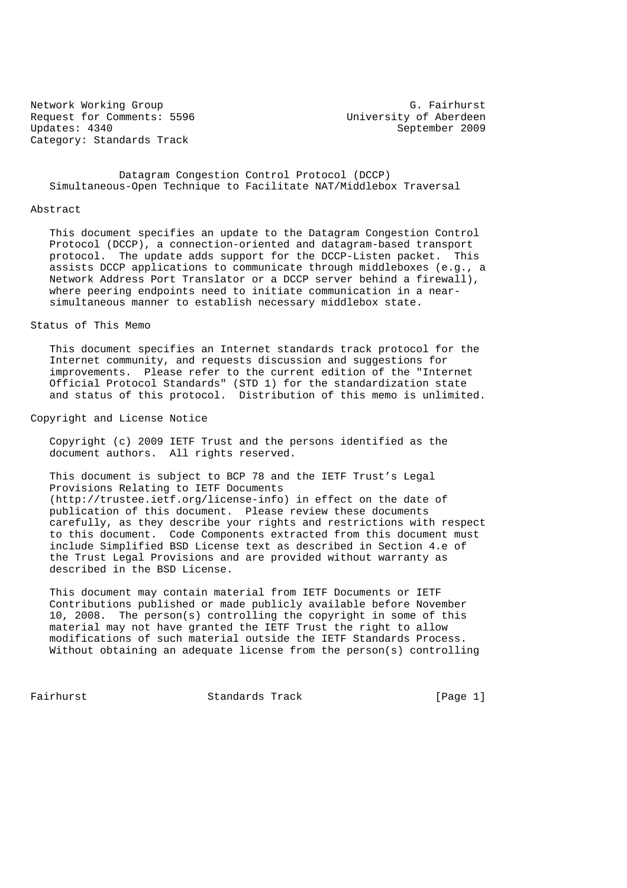Network Working Group G. Fairhurst<br>Request for Comments: 5596 G. Fairhurst University of Aberdeen Request for Comments: 5596<br>Updates: 4340 Category: Standards Track

September 2009

 Datagram Congestion Control Protocol (DCCP) Simultaneous-Open Technique to Facilitate NAT/Middlebox Traversal

#### Abstract

 This document specifies an update to the Datagram Congestion Control Protocol (DCCP), a connection-oriented and datagram-based transport protocol. The update adds support for the DCCP-Listen packet. This assists DCCP applications to communicate through middleboxes (e.g., a Network Address Port Translator or a DCCP server behind a firewall), where peering endpoints need to initiate communication in a near simultaneous manner to establish necessary middlebox state.

## Status of This Memo

 This document specifies an Internet standards track protocol for the Internet community, and requests discussion and suggestions for improvements. Please refer to the current edition of the "Internet Official Protocol Standards" (STD 1) for the standardization state and status of this protocol. Distribution of this memo is unlimited.

Copyright and License Notice

 Copyright (c) 2009 IETF Trust and the persons identified as the document authors. All rights reserved.

 This document is subject to BCP 78 and the IETF Trust's Legal Provisions Relating to IETF Documents (http://trustee.ietf.org/license-info) in effect on the date of publication of this document. Please review these documents carefully, as they describe your rights and restrictions with respect to this document. Code Components extracted from this document must include Simplified BSD License text as described in Section 4.e of the Trust Legal Provisions and are provided without warranty as described in the BSD License.

 This document may contain material from IETF Documents or IETF Contributions published or made publicly available before November 10, 2008. The person(s) controlling the copyright in some of this material may not have granted the IETF Trust the right to allow modifications of such material outside the IETF Standards Process. Without obtaining an adequate license from the person(s) controlling

Fairhurst **Standards Track** [Page 1]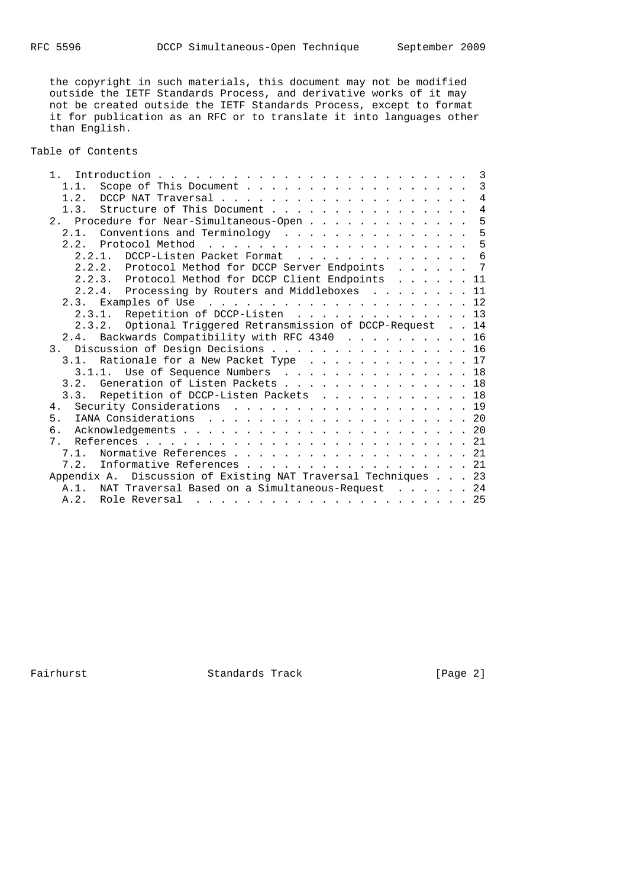the copyright in such materials, this document may not be modified outside the IETF Standards Process, and derivative works of it may not be created outside the IETF Standards Process, except to format it for publication as an RFC or to translate it into languages other than English.

# Table of Contents

| $\mathfrak{1}$ .                                               |  | 3              |
|----------------------------------------------------------------|--|----------------|
| 1.1.                                                           |  | $\overline{3}$ |
| 1.2.                                                           |  | $\overline{4}$ |
| Structure of This Document<br>1.3.                             |  | $\sqrt{4}$     |
| Procedure for Near-Simultaneous-Open<br>2.1                    |  | 5              |
| 2.1. Conventions and Terminology                               |  | 5              |
| $2 \t2$                                                        |  | 5              |
| DCCP-Listen Packet Format 6<br>2.2.1.                          |  |                |
| 2.2.2. Protocol Method for DCCP Server Endpoints 7             |  |                |
| 2.2.3. Protocol Method for DCCP Client Endpoints 11            |  |                |
| 2.2.4. Processing by Routers and Middleboxes 11                |  |                |
|                                                                |  |                |
| 2.3.1. Repetition of DCCP-Listen 13                            |  |                |
| Optional Triggered Retransmission of DCCP-Request 14<br>2.3.2. |  |                |
| 2.4. Backwards Compatibility with RFC 4340 16                  |  |                |
| 3. Discussion of Design Decisions 16                           |  |                |
| Rationale for a New Packet Type 17<br>3.1.                     |  |                |
| 3.1.1. Use of Sequence Numbers 18                              |  |                |
|                                                                |  |                |
| 3.2. Generation of Listen Packets 18                           |  |                |
| 3.3. Repetition of DCCP-Listen Packets 18                      |  |                |
| Security Considerations 19<br>4.                               |  |                |
| 5 <sub>1</sub>                                                 |  |                |
| б.                                                             |  |                |
| 7.                                                             |  |                |
| 7 1<br>Normative References 21                                 |  |                |
| Informative References 21<br>7.2.                              |  |                |
| Appendix A. Discussion of Existing NAT Traversal Techniques 23 |  |                |
| A.1. NAT Traversal Based on a Simultaneous-Request 24          |  |                |
| A.2. Role Reversal                                             |  |                |

Fairhurst Standards Track [Page 2]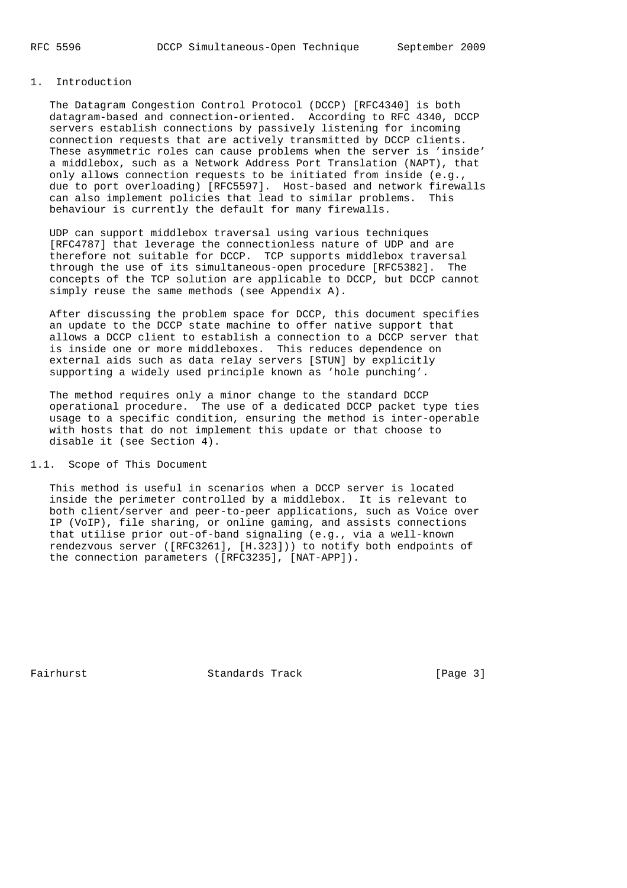# 1. Introduction

 The Datagram Congestion Control Protocol (DCCP) [RFC4340] is both datagram-based and connection-oriented. According to RFC 4340, DCCP servers establish connections by passively listening for incoming connection requests that are actively transmitted by DCCP clients. These asymmetric roles can cause problems when the server is 'inside' a middlebox, such as a Network Address Port Translation (NAPT), that only allows connection requests to be initiated from inside (e.g., due to port overloading) [RFC5597]. Host-based and network firewalls can also implement policies that lead to similar problems. This behaviour is currently the default for many firewalls.

 UDP can support middlebox traversal using various techniques [RFC4787] that leverage the connectionless nature of UDP and are therefore not suitable for DCCP. TCP supports middlebox traversal through the use of its simultaneous-open procedure [RFC5382]. The concepts of the TCP solution are applicable to DCCP, but DCCP cannot simply reuse the same methods (see Appendix A).

 After discussing the problem space for DCCP, this document specifies an update to the DCCP state machine to offer native support that allows a DCCP client to establish a connection to a DCCP server that is inside one or more middleboxes. This reduces dependence on external aids such as data relay servers [STUN] by explicitly supporting a widely used principle known as 'hole punching'.

 The method requires only a minor change to the standard DCCP operational procedure. The use of a dedicated DCCP packet type ties usage to a specific condition, ensuring the method is inter-operable with hosts that do not implement this update or that choose to disable it (see Section 4).

# 1.1. Scope of This Document

 This method is useful in scenarios when a DCCP server is located inside the perimeter controlled by a middlebox. It is relevant to both client/server and peer-to-peer applications, such as Voice over IP (VoIP), file sharing, or online gaming, and assists connections that utilise prior out-of-band signaling (e.g., via a well-known rendezvous server ([RFC3261], [H.323])) to notify both endpoints of the connection parameters ([RFC3235], [NAT-APP]).

Fairhurst **Standards Track** [Page 3]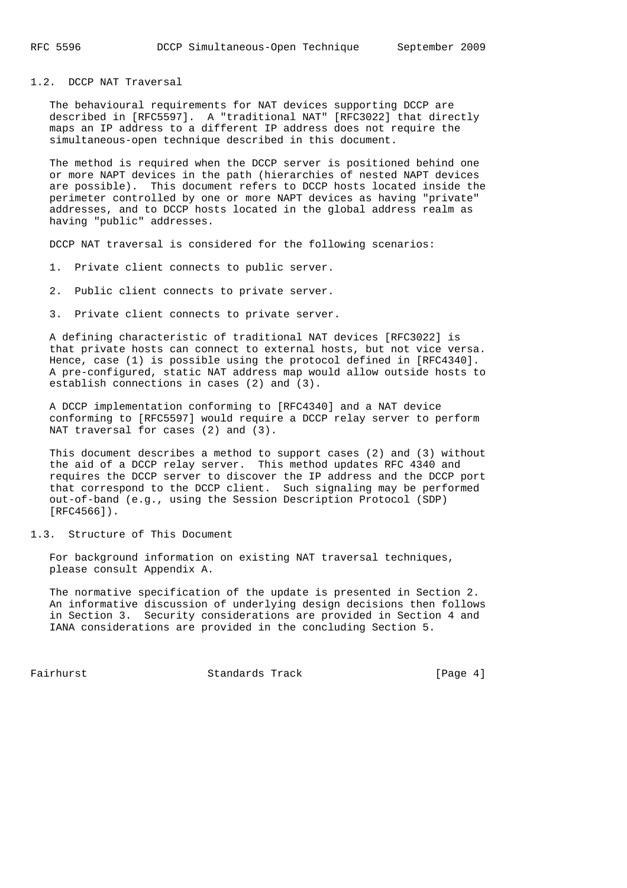#### 1.2. DCCP NAT Traversal

 The behavioural requirements for NAT devices supporting DCCP are described in [RFC5597]. A "traditional NAT" [RFC3022] that directly maps an IP address to a different IP address does not require the simultaneous-open technique described in this document.

 The method is required when the DCCP server is positioned behind one or more NAPT devices in the path (hierarchies of nested NAPT devices are possible). This document refers to DCCP hosts located inside the perimeter controlled by one or more NAPT devices as having "private" addresses, and to DCCP hosts located in the global address realm as having "public" addresses.

DCCP NAT traversal is considered for the following scenarios:

- 1. Private client connects to public server.
- 2. Public client connects to private server.
- 3. Private client connects to private server.

 A defining characteristic of traditional NAT devices [RFC3022] is that private hosts can connect to external hosts, but not vice versa. Hence, case (1) is possible using the protocol defined in [RFC4340]. A pre-configured, static NAT address map would allow outside hosts to establish connections in cases (2) and (3).

 A DCCP implementation conforming to [RFC4340] and a NAT device conforming to [RFC5597] would require a DCCP relay server to perform NAT traversal for cases (2) and (3).

 This document describes a method to support cases (2) and (3) without the aid of a DCCP relay server. This method updates RFC 4340 and requires the DCCP server to discover the IP address and the DCCP port that correspond to the DCCP client. Such signaling may be performed out-of-band (e.g., using the Session Description Protocol (SDP) [RFC4566]).

1.3. Structure of This Document

 For background information on existing NAT traversal techniques, please consult Appendix A.

 The normative specification of the update is presented in Section 2. An informative discussion of underlying design decisions then follows in Section 3. Security considerations are provided in Section 4 and IANA considerations are provided in the concluding Section 5.

Fairhurst **Standards Track** [Page 4]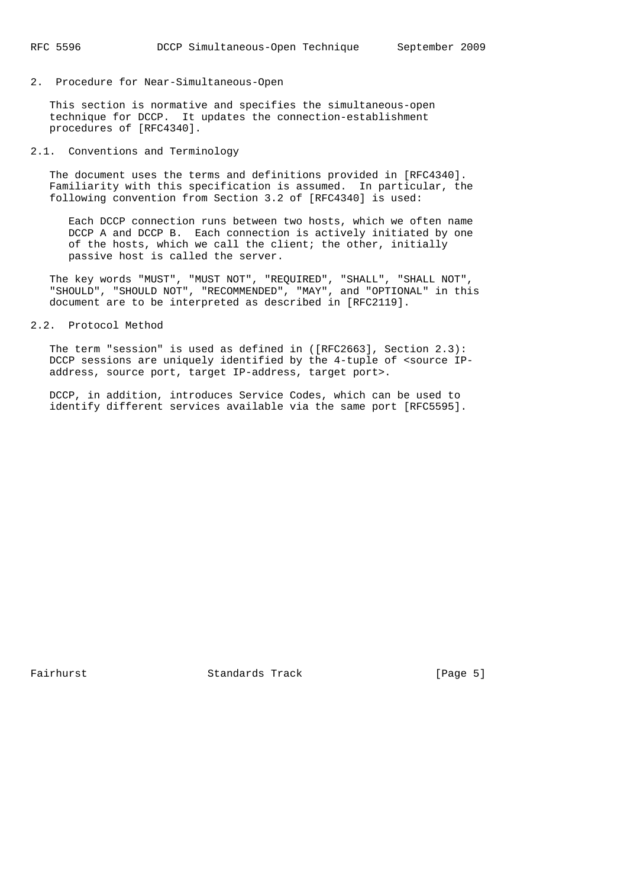2. Procedure for Near-Simultaneous-Open

 This section is normative and specifies the simultaneous-open technique for DCCP. It updates the connection-establishment procedures of [RFC4340].

2.1. Conventions and Terminology

 The document uses the terms and definitions provided in [RFC4340]. Familiarity with this specification is assumed. In particular, the following convention from Section 3.2 of [RFC4340] is used:

 Each DCCP connection runs between two hosts, which we often name DCCP A and DCCP B. Each connection is actively initiated by one of the hosts, which we call the client; the other, initially passive host is called the server.

 The key words "MUST", "MUST NOT", "REQUIRED", "SHALL", "SHALL NOT", "SHOULD", "SHOULD NOT", "RECOMMENDED", "MAY", and "OPTIONAL" in this document are to be interpreted as described in [RFC2119].

2.2. Protocol Method

 The term "session" is used as defined in ([RFC2663], Section 2.3): DCCP sessions are uniquely identified by the 4-tuple of <source IPaddress, source port, target IP-address, target port>.

 DCCP, in addition, introduces Service Codes, which can be used to identify different services available via the same port [RFC5595].

Fairhurst **Standards Track** [Page 5]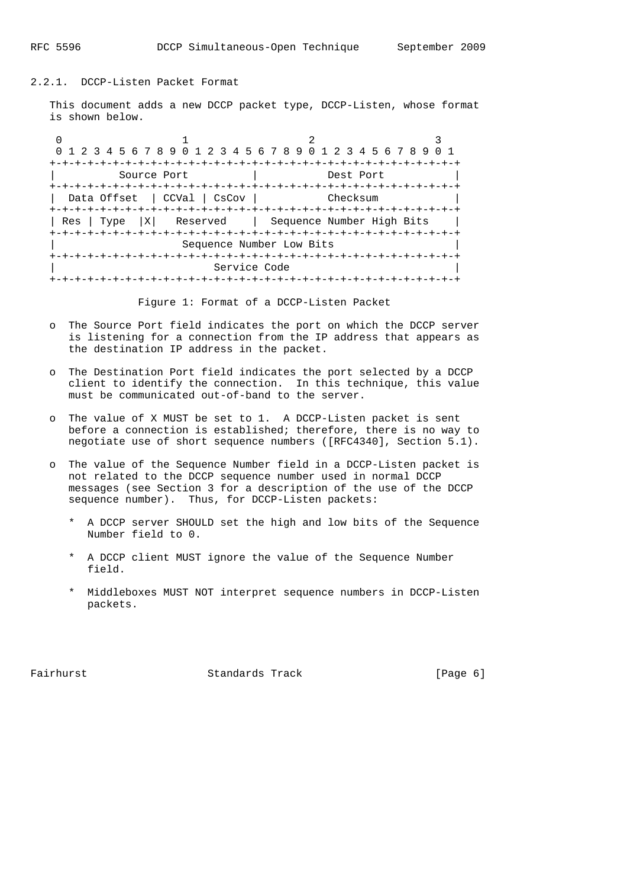#### 2.2.1. DCCP-Listen Packet Format

 This document adds a new DCCP packet type, DCCP-Listen, whose format is shown below.

0  $1$  2 3 0 1 2 3 4 5 6 7 8 9 0 1 2 3 4 5 6 7 8 9 0 1 2 3 4 5 6 7 8 9 0 1 +-+-+-+-+-+-+-+-+-+-+-+-+-+-+-+-+-+-+-+-+-+-+-+-+-+-+-+-+-+-+-+-+ | Source Port | Dest Port | +-+-+-+-+-+-+-+-+-+-+-+-+-+-+-+-+-+-+-+-+-+-+-+-+-+-+-+-+-+-+-+-+ | Data Offset | CCVal | CsCov | Checksum +-+-+-+-+-+-+-+-+-+-+-+-+-+-+-+-+-+-+-+-+-+-+-+-+-+-+-+-+-+-+-+-+ | Res | Type |X| Reserved | Sequence Number High Bits | +-+-+-+-+-+-+-+-+-+-+-+-+-+-+-+-+-+-+-+-+-+-+-+-+-+-+-+-+-+-+-+-+ Sequence Number Low Bits +-+-+-+-+-+-+-+-+-+-+-+-+-+-+-+-+-+-+-+-+-+-+-+-+-+-+-+-+-+-+-+-+ Service Code +-+-+-+-+-+-+-+-+-+-+-+-+-+-+-+-+-+-+-+-+-+-+-+-+-+-+-+-+-+-+-+-+

Figure 1: Format of a DCCP-Listen Packet

- o The Source Port field indicates the port on which the DCCP server is listening for a connection from the IP address that appears as the destination IP address in the packet.
- o The Destination Port field indicates the port selected by a DCCP client to identify the connection. In this technique, this value must be communicated out-of-band to the server.
- o The value of X MUST be set to 1. A DCCP-Listen packet is sent before a connection is established; therefore, there is no way to negotiate use of short sequence numbers ([RFC4340], Section 5.1).
- o The value of the Sequence Number field in a DCCP-Listen packet is not related to the DCCP sequence number used in normal DCCP messages (see Section 3 for a description of the use of the DCCP sequence number). Thus, for DCCP-Listen packets:
	- \* A DCCP server SHOULD set the high and low bits of the Sequence Number field to 0.
	- \* A DCCP client MUST ignore the value of the Sequence Number field.
	- \* Middleboxes MUST NOT interpret sequence numbers in DCCP-Listen packets.

Fairhurst **Standards Track** [Page 6]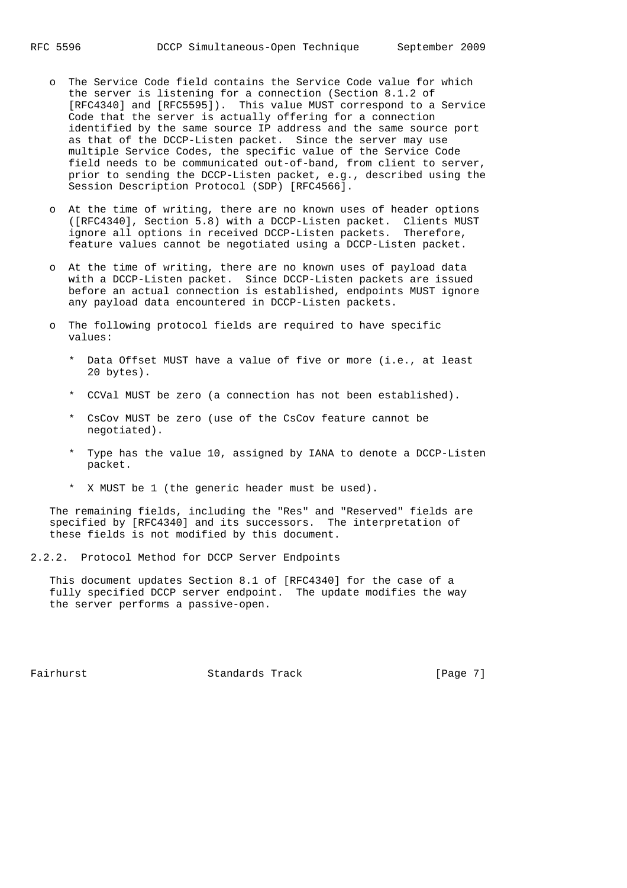- o The Service Code field contains the Service Code value for which the server is listening for a connection (Section 8.1.2 of [RFC4340] and [RFC5595]). This value MUST correspond to a Service Code that the server is actually offering for a connection identified by the same source IP address and the same source port as that of the DCCP-Listen packet. Since the server may use multiple Service Codes, the specific value of the Service Code field needs to be communicated out-of-band, from client to server, prior to sending the DCCP-Listen packet, e.g., described using the Session Description Protocol (SDP) [RFC4566].
- o At the time of writing, there are no known uses of header options ([RFC4340], Section 5.8) with a DCCP-Listen packet. Clients MUST ignore all options in received DCCP-Listen packets. Therefore, feature values cannot be negotiated using a DCCP-Listen packet.
- o At the time of writing, there are no known uses of payload data with a DCCP-Listen packet. Since DCCP-Listen packets are issued before an actual connection is established, endpoints MUST ignore any payload data encountered in DCCP-Listen packets.
- o The following protocol fields are required to have specific values:
	- \* Data Offset MUST have a value of five or more (i.e., at least 20 bytes).
	- \* CCVal MUST be zero (a connection has not been established).
	- \* CsCov MUST be zero (use of the CsCov feature cannot be negotiated).
	- \* Type has the value 10, assigned by IANA to denote a DCCP-Listen packet.
	- \* X MUST be 1 (the generic header must be used).

 The remaining fields, including the "Res" and "Reserved" fields are specified by [RFC4340] and its successors. The interpretation of these fields is not modified by this document.

2.2.2. Protocol Method for DCCP Server Endpoints

 This document updates Section 8.1 of [RFC4340] for the case of a fully specified DCCP server endpoint. The update modifies the way the server performs a passive-open.

Fairhurst **Standards Track** [Page 7]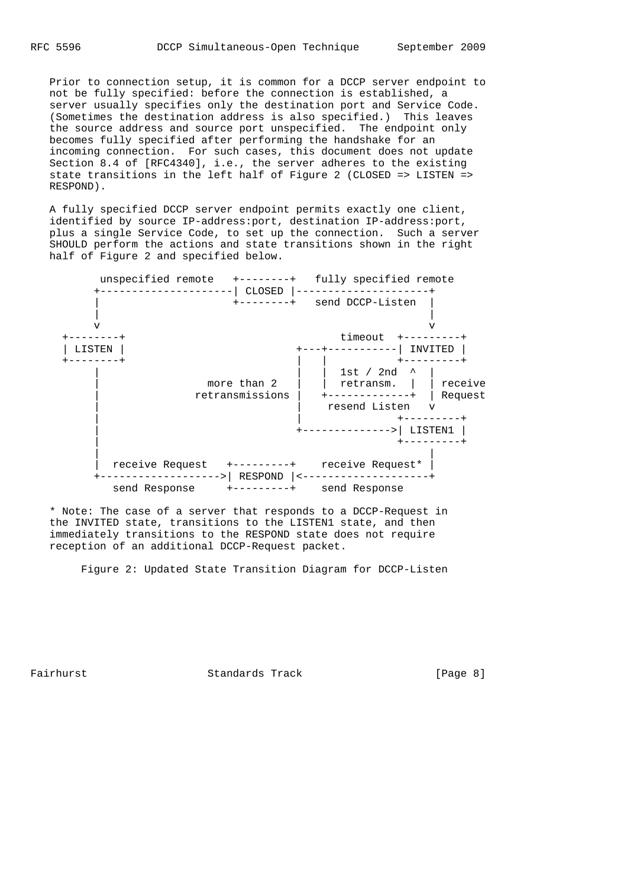Prior to connection setup, it is common for a DCCP server endpoint to not be fully specified: before the connection is established, a server usually specifies only the destination port and Service Code. (Sometimes the destination address is also specified.) This leaves the source address and source port unspecified. The endpoint only becomes fully specified after performing the handshake for an incoming connection. For such cases, this document does not update Section 8.4 of [RFC4340], i.e., the server adheres to the existing state transitions in the left half of Figure 2 (CLOSED => LISTEN => RESPOND).

 A fully specified DCCP server endpoint permits exactly one client, identified by source IP-address:port, destination IP-address:port, plus a single Service Code, to set up the connection. Such a server SHOULD perform the actions and state transitions shown in the right half of Figure 2 and specified below.



 \* Note: The case of a server that responds to a DCCP-Request in the INVITED state, transitions to the LISTEN1 state, and then immediately transitions to the RESPOND state does not require reception of an additional DCCP-Request packet.

Figure 2: Updated State Transition Diagram for DCCP-Listen

Fairhurst **Standards Track** [Page 8]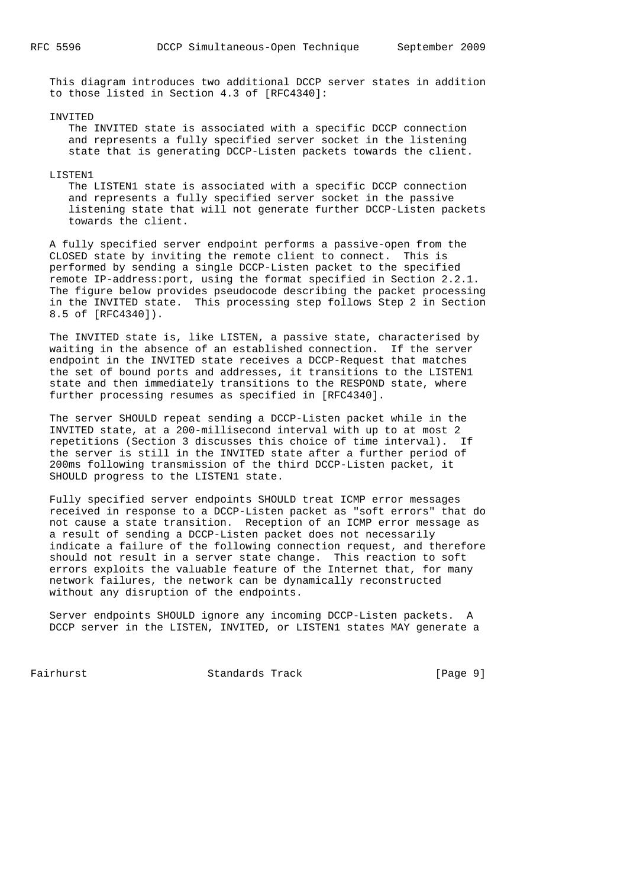This diagram introduces two additional DCCP server states in addition to those listed in Section 4.3 of [RFC4340]:

#### INVITED

 The INVITED state is associated with a specific DCCP connection and represents a fully specified server socket in the listening state that is generating DCCP-Listen packets towards the client.

#### LISTEN1

 The LISTEN1 state is associated with a specific DCCP connection and represents a fully specified server socket in the passive listening state that will not generate further DCCP-Listen packets towards the client.

 A fully specified server endpoint performs a passive-open from the CLOSED state by inviting the remote client to connect. This is performed by sending a single DCCP-Listen packet to the specified remote IP-address:port, using the format specified in Section 2.2.1. The figure below provides pseudocode describing the packet processing in the INVITED state. This processing step follows Step 2 in Section 8.5 of [RFC4340]).

 The INVITED state is, like LISTEN, a passive state, characterised by waiting in the absence of an established connection. If the server endpoint in the INVITED state receives a DCCP-Request that matches the set of bound ports and addresses, it transitions to the LISTEN1 state and then immediately transitions to the RESPOND state, where further processing resumes as specified in [RFC4340].

 The server SHOULD repeat sending a DCCP-Listen packet while in the INVITED state, at a 200-millisecond interval with up to at most 2 repetitions (Section 3 discusses this choice of time interval). If the server is still in the INVITED state after a further period of 200ms following transmission of the third DCCP-Listen packet, it SHOULD progress to the LISTEN1 state.

 Fully specified server endpoints SHOULD treat ICMP error messages received in response to a DCCP-Listen packet as "soft errors" that do not cause a state transition. Reception of an ICMP error message as a result of sending a DCCP-Listen packet does not necessarily indicate a failure of the following connection request, and therefore should not result in a server state change. This reaction to soft errors exploits the valuable feature of the Internet that, for many network failures, the network can be dynamically reconstructed without any disruption of the endpoints.

 Server endpoints SHOULD ignore any incoming DCCP-Listen packets. A DCCP server in the LISTEN, INVITED, or LISTEN1 states MAY generate a

Fairhurst **Standards Track** [Page 9]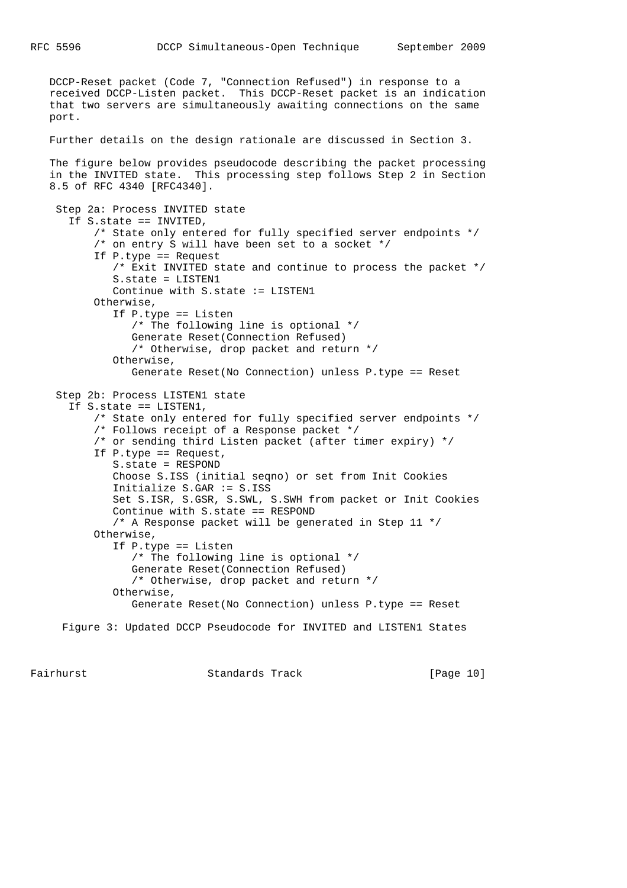DCCP-Reset packet (Code 7, "Connection Refused") in response to a received DCCP-Listen packet. This DCCP-Reset packet is an indication that two servers are simultaneously awaiting connections on the same port.

#### Further details on the design rationale are discussed in Section 3.

 The figure below provides pseudocode describing the packet processing in the INVITED state. This processing step follows Step 2 in Section 8.5 of RFC 4340 [RFC4340].

 Step 2a: Process INVITED state If S.state == INVITED, /\* State only entered for fully specified server endpoints \*/ /\* on entry S will have been set to a socket \*/ If P.type == Request /\* Exit INVITED state and continue to process the packet \*/ S.state = LISTEN1 Continue with S.state := LISTEN1 Otherwise, If P.type == Listen /\* The following line is optional \*/ Generate Reset(Connection Refused) /\* Otherwise, drop packet and return \*/ Otherwise, Generate Reset(No Connection) unless P.type == Reset Step 2b: Process LISTEN1 state If S.state == LISTEN1, /\* State only entered for fully specified server endpoints \*/ /\* Follows receipt of a Response packet \*/ /\* or sending third Listen packet (after timer expiry) \*/ If P.type == Request, S.state = RESPOND Choose S.ISS (initial seqno) or set from Init Cookies Initialize S.GAR := S.ISS Set S.ISR, S.GSR, S.SWL, S.SWH from packet or Init Cookies Continue with S.state == RESPOND /\* A Response packet will be generated in Step 11 \*/ Otherwise, If P.type == Listen /\* The following line is optional \*/ Generate Reset(Connection Refused) /\* Otherwise, drop packet and return \*/ Otherwise, Generate Reset(No Connection) unless P.type == Reset

Figure 3: Updated DCCP Pseudocode for INVITED and LISTEN1 States

Fairhurst **Standards Track** [Page 10]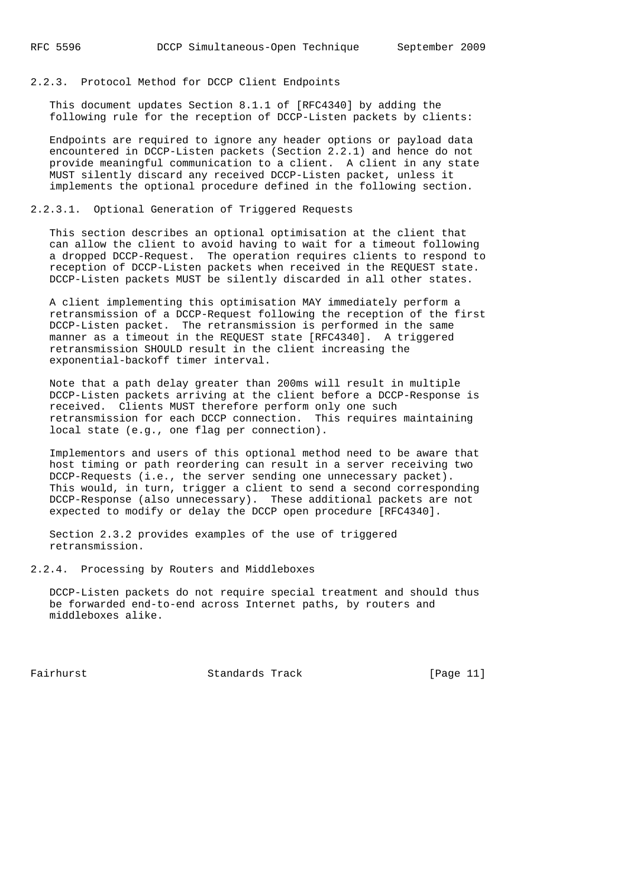#### 2.2.3. Protocol Method for DCCP Client Endpoints

 This document updates Section 8.1.1 of [RFC4340] by adding the following rule for the reception of DCCP-Listen packets by clients:

 Endpoints are required to ignore any header options or payload data encountered in DCCP-Listen packets (Section 2.2.1) and hence do not provide meaningful communication to a client. A client in any state MUST silently discard any received DCCP-Listen packet, unless it implements the optional procedure defined in the following section.

#### 2.2.3.1. Optional Generation of Triggered Requests

 This section describes an optional optimisation at the client that can allow the client to avoid having to wait for a timeout following a dropped DCCP-Request. The operation requires clients to respond to reception of DCCP-Listen packets when received in the REQUEST state. DCCP-Listen packets MUST be silently discarded in all other states.

 A client implementing this optimisation MAY immediately perform a retransmission of a DCCP-Request following the reception of the first DCCP-Listen packet. The retransmission is performed in the same manner as a timeout in the REQUEST state [RFC4340]. A triggered retransmission SHOULD result in the client increasing the exponential-backoff timer interval.

 Note that a path delay greater than 200ms will result in multiple DCCP-Listen packets arriving at the client before a DCCP-Response is received. Clients MUST therefore perform only one such retransmission for each DCCP connection. This requires maintaining local state (e.g., one flag per connection).

 Implementors and users of this optional method need to be aware that host timing or path reordering can result in a server receiving two DCCP-Requests (i.e., the server sending one unnecessary packet). This would, in turn, trigger a client to send a second corresponding DCCP-Response (also unnecessary). These additional packets are not expected to modify or delay the DCCP open procedure [RFC4340].

 Section 2.3.2 provides examples of the use of triggered retransmission.

#### 2.2.4. Processing by Routers and Middleboxes

 DCCP-Listen packets do not require special treatment and should thus be forwarded end-to-end across Internet paths, by routers and middleboxes alike.

Fairhurst Standards Track [Page 11]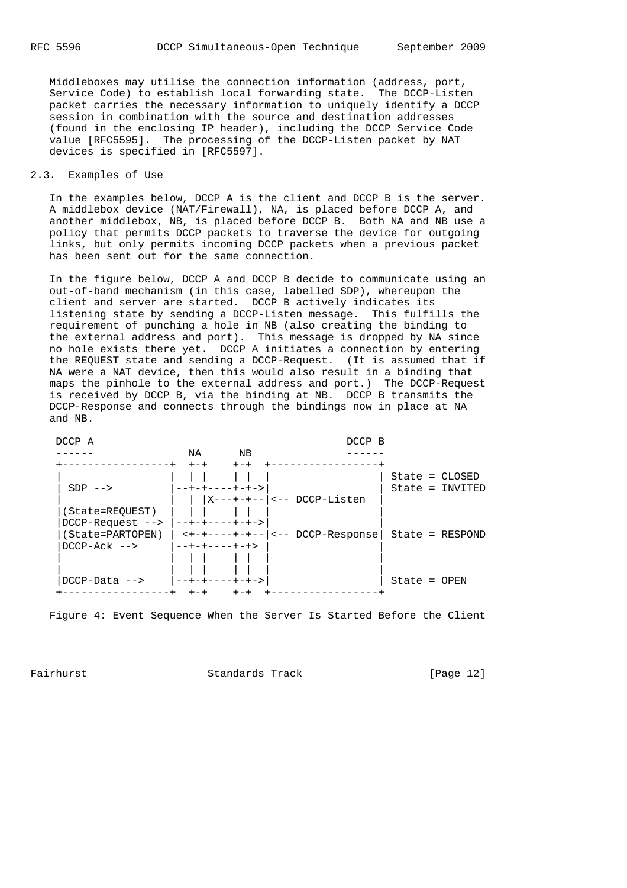Middleboxes may utilise the connection information (address, port, Service Code) to establish local forwarding state. The DCCP-Listen packet carries the necessary information to uniquely identify a DCCP session in combination with the source and destination addresses (found in the enclosing IP header), including the DCCP Service Code value [RFC5595]. The processing of the DCCP-Listen packet by NAT devices is specified in [RFC5597].

#### 2.3. Examples of Use

 In the examples below, DCCP A is the client and DCCP B is the server. A middlebox device (NAT/Firewall), NA, is placed before DCCP A, and another middlebox, NB, is placed before DCCP B. Both NA and NB use a policy that permits DCCP packets to traverse the device for outgoing links, but only permits incoming DCCP packets when a previous packet has been sent out for the same connection.

 In the figure below, DCCP A and DCCP B decide to communicate using an out-of-band mechanism (in this case, labelled SDP), whereupon the client and server are started. DCCP B actively indicates its listening state by sending a DCCP-Listen message. This fulfills the requirement of punching a hole in NB (also creating the binding to the external address and port). This message is dropped by NA since no hole exists there yet. DCCP A initiates a connection by entering the REQUEST state and sending a DCCP-Request. (It is assumed that if NA were a NAT device, then this would also result in a binding that maps the pinhole to the external address and port.) The DCCP-Request is received by DCCP B, via the binding at NB. DCCP B transmits the DCCP-Response and connects through the bindings now in place at NA and NB.



Figure 4: Event Sequence When the Server Is Started Before the Client

Fairhurst Standards Track [Page 12]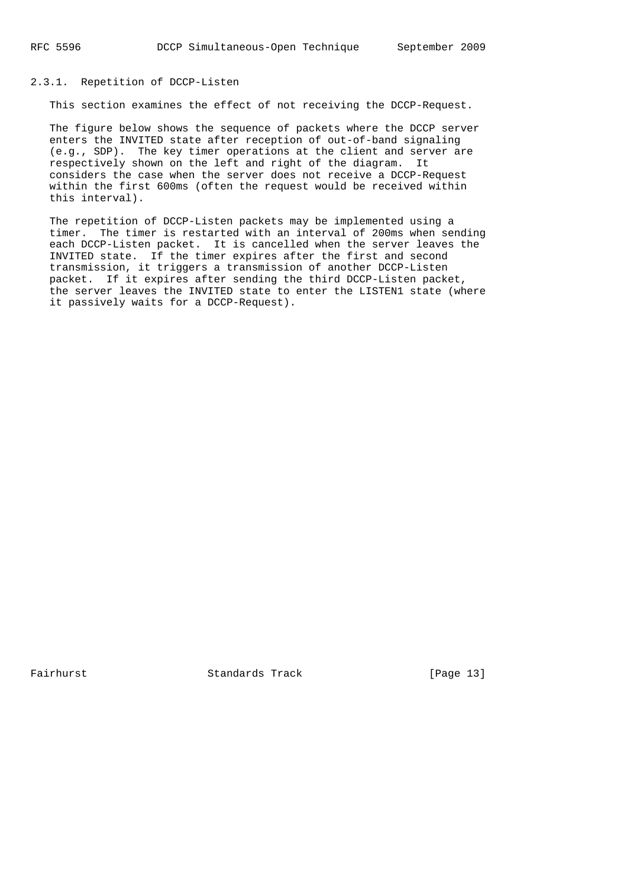## 2.3.1. Repetition of DCCP-Listen

This section examines the effect of not receiving the DCCP-Request.

 The figure below shows the sequence of packets where the DCCP server enters the INVITED state after reception of out-of-band signaling (e.g., SDP). The key timer operations at the client and server are respectively shown on the left and right of the diagram. It considers the case when the server does not receive a DCCP-Request within the first 600ms (often the request would be received within this interval).

 The repetition of DCCP-Listen packets may be implemented using a timer. The timer is restarted with an interval of 200ms when sending each DCCP-Listen packet. It is cancelled when the server leaves the INVITED state. If the timer expires after the first and second transmission, it triggers a transmission of another DCCP-Listen packet. If it expires after sending the third DCCP-Listen packet, the server leaves the INVITED state to enter the LISTEN1 state (where it passively waits for a DCCP-Request).

Fairhurst Standards Track [Page 13]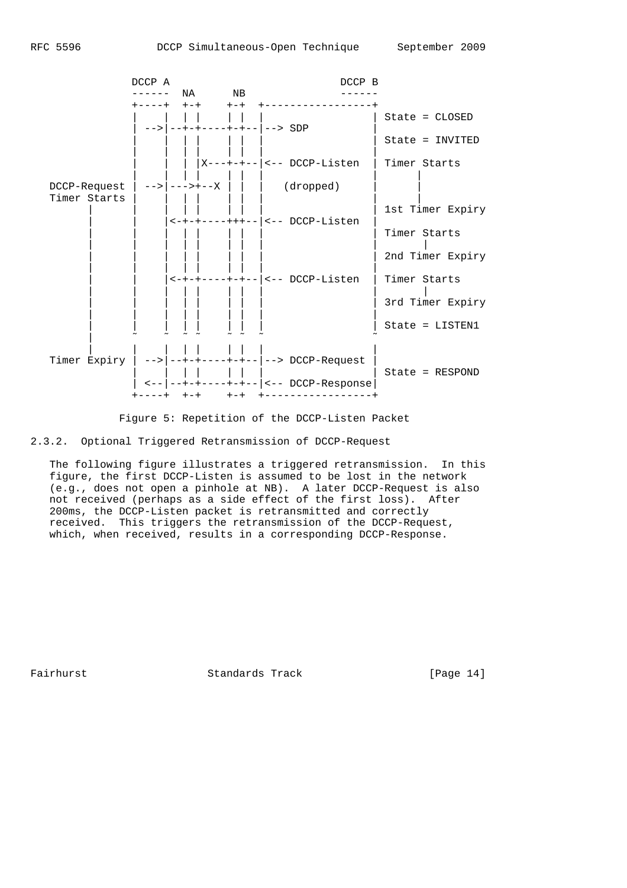

Figure 5: Repetition of the DCCP-Listen Packet

2.3.2. Optional Triggered Retransmission of DCCP-Request

 The following figure illustrates a triggered retransmission. In this figure, the first DCCP-Listen is assumed to be lost in the network (e.g., does not open a pinhole at NB). A later DCCP-Request is also not received (perhaps as a side effect of the first loss). After 200ms, the DCCP-Listen packet is retransmitted and correctly received. This triggers the retransmission of the DCCP-Request, which, when received, results in a corresponding DCCP-Response.

Fairhurst Standards Track [Page 14]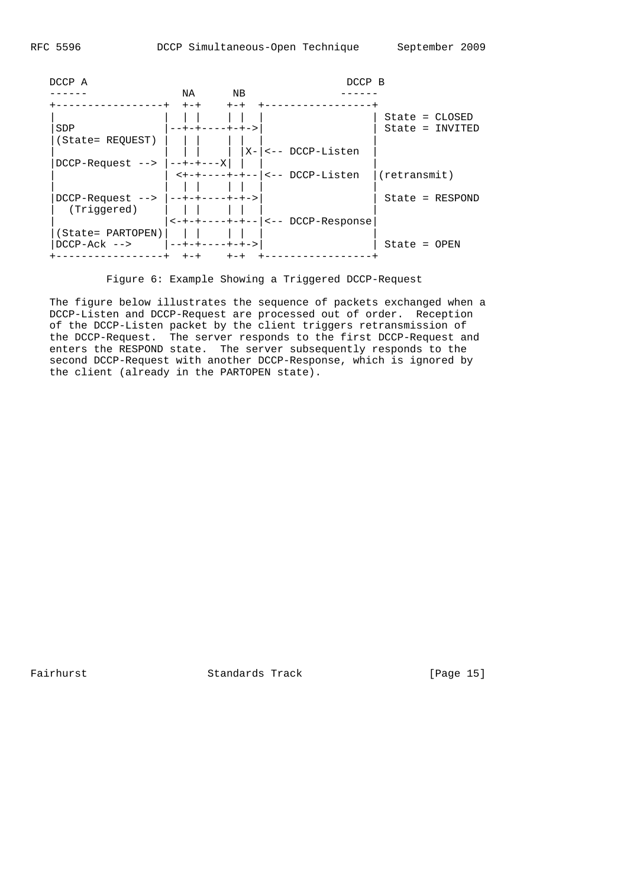| DCCP A                                |                             |       | DCCP B                                                                                                                                                  |                   |  |
|---------------------------------------|-----------------------------|-------|---------------------------------------------------------------------------------------------------------------------------------------------------------|-------------------|--|
|                                       | NA                          | ΝB    |                                                                                                                                                         |                   |  |
|                                       | $+-+$                       | $+-+$ |                                                                                                                                                         |                   |  |
|                                       |                             |       |                                                                                                                                                         | $State = CLOSED$  |  |
| SDP                                   | $- - + - + - - - + - + - >$ |       |                                                                                                                                                         | State = INVITED   |  |
| (State= REQUEST)                      |                             |       |                                                                                                                                                         |                   |  |
|                                       |                             |       | X- <-- DCCP-Listen                                                                                                                                      |                   |  |
| $DCCP-Request$ --> $ -+++---X $       |                             |       |                                                                                                                                                         |                   |  |
|                                       |                             |       | <+-+----+-+-- <-- DCCP-Listen                                                                                                                           | (retransmit)      |  |
|                                       |                             |       |                                                                                                                                                         |                   |  |
| $DCCP-Request$ --> $ $ --+-+----+-+-> |                             |       |                                                                                                                                                         | $State = RESPOND$ |  |
| (Triggered)                           |                             |       |                                                                                                                                                         |                   |  |
|                                       |                             |       | $\left  \left  \left  \left  \left  \left  \left  \left  \left  \left  \right  \right  \right  \right  \right  \right  \right  \right $ = DCCP-Response |                   |  |
| (State= PARTOPEN)                     |                             |       |                                                                                                                                                         |                   |  |
| $DCCP - Ack$ -->                      | --+-+----+-+->              |       |                                                                                                                                                         | $State = OPEN$    |  |

Figure 6: Example Showing a Triggered DCCP-Request

 The figure below illustrates the sequence of packets exchanged when a DCCP-Listen and DCCP-Request are processed out of order. Reception of the DCCP-Listen packet by the client triggers retransmission of the DCCP-Request. The server responds to the first DCCP-Request and enters the RESPOND state. The server subsequently responds to the second DCCP-Request with another DCCP-Response, which is ignored by the client (already in the PARTOPEN state).

Fairhurst Standards Track [Page 15]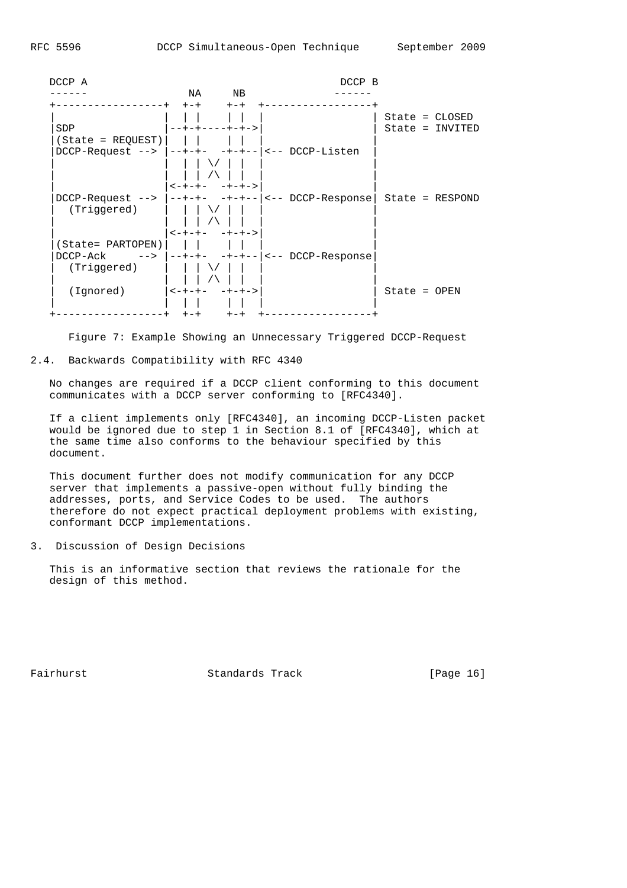

Figure 7: Example Showing an Unnecessary Triggered DCCP-Request

# 2.4. Backwards Compatibility with RFC 4340

 No changes are required if a DCCP client conforming to this document communicates with a DCCP server conforming to [RFC4340].

 If a client implements only [RFC4340], an incoming DCCP-Listen packet would be ignored due to step 1 in Section 8.1 of [RFC4340], which at the same time also conforms to the behaviour specified by this document.

 This document further does not modify communication for any DCCP server that implements a passive-open without fully binding the addresses, ports, and Service Codes to be used. The authors therefore do not expect practical deployment problems with existing, conformant DCCP implementations.

3. Discussion of Design Decisions

 This is an informative section that reviews the rationale for the design of this method.

Fairhurst **Standards Track** [Page 16]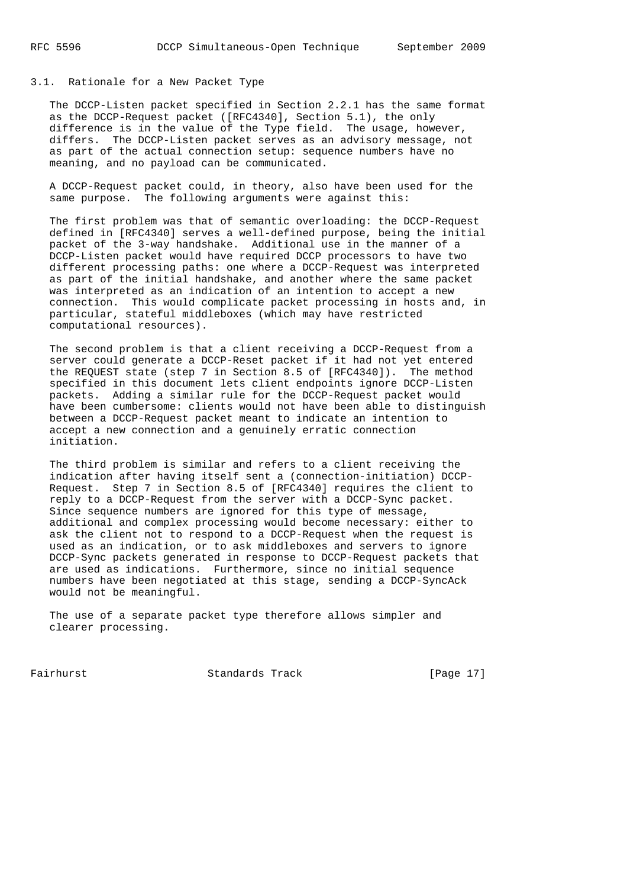# 3.1. Rationale for a New Packet Type

 The DCCP-Listen packet specified in Section 2.2.1 has the same format as the DCCP-Request packet ([RFC4340], Section 5.1), the only difference is in the value of the Type field. The usage, however, differs. The DCCP-Listen packet serves as an advisory message, not as part of the actual connection setup: sequence numbers have no meaning, and no payload can be communicated.

 A DCCP-Request packet could, in theory, also have been used for the same purpose. The following arguments were against this:

 The first problem was that of semantic overloading: the DCCP-Request defined in [RFC4340] serves a well-defined purpose, being the initial packet of the 3-way handshake. Additional use in the manner of a DCCP-Listen packet would have required DCCP processors to have two different processing paths: one where a DCCP-Request was interpreted as part of the initial handshake, and another where the same packet was interpreted as an indication of an intention to accept a new connection. This would complicate packet processing in hosts and, in particular, stateful middleboxes (which may have restricted computational resources).

 The second problem is that a client receiving a DCCP-Request from a server could generate a DCCP-Reset packet if it had not yet entered the REQUEST state (step 7 in Section 8.5 of [RFC4340]). The method specified in this document lets client endpoints ignore DCCP-Listen packets. Adding a similar rule for the DCCP-Request packet would have been cumbersome: clients would not have been able to distinguish between a DCCP-Request packet meant to indicate an intention to accept a new connection and a genuinely erratic connection initiation.

 The third problem is similar and refers to a client receiving the indication after having itself sent a (connection-initiation) DCCP- Request. Step 7 in Section 8.5 of [RFC4340] requires the client to reply to a DCCP-Request from the server with a DCCP-Sync packet. Since sequence numbers are ignored for this type of message, additional and complex processing would become necessary: either to ask the client not to respond to a DCCP-Request when the request is used as an indication, or to ask middleboxes and servers to ignore DCCP-Sync packets generated in response to DCCP-Request packets that are used as indications. Furthermore, since no initial sequence numbers have been negotiated at this stage, sending a DCCP-SyncAck would not be meaningful.

 The use of a separate packet type therefore allows simpler and clearer processing.

Fairhurst Standards Track [Page 17]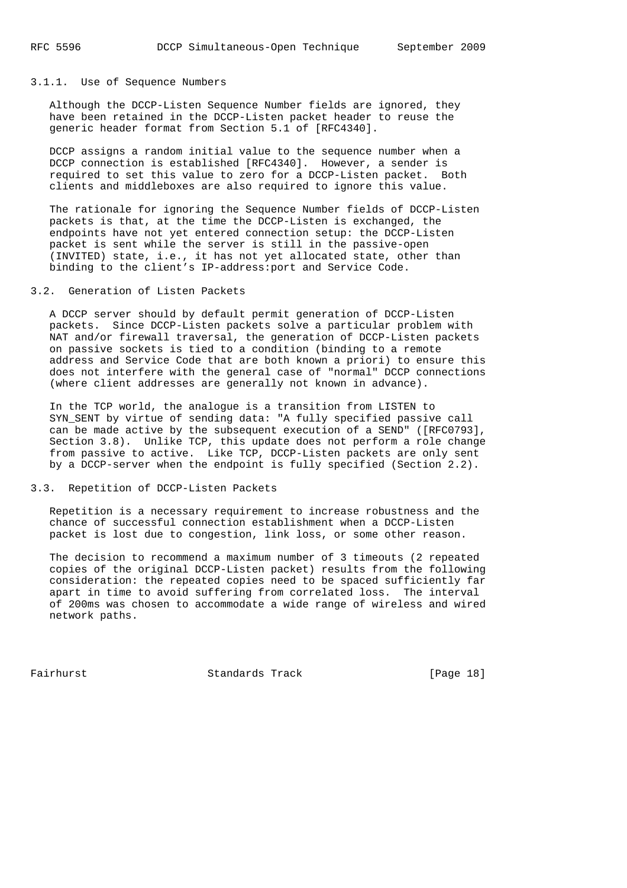## 3.1.1. Use of Sequence Numbers

 Although the DCCP-Listen Sequence Number fields are ignored, they have been retained in the DCCP-Listen packet header to reuse the generic header format from Section 5.1 of [RFC4340].

 DCCP assigns a random initial value to the sequence number when a DCCP connection is established [RFC4340]. However, a sender is required to set this value to zero for a DCCP-Listen packet. Both clients and middleboxes are also required to ignore this value.

 The rationale for ignoring the Sequence Number fields of DCCP-Listen packets is that, at the time the DCCP-Listen is exchanged, the endpoints have not yet entered connection setup: the DCCP-Listen packet is sent while the server is still in the passive-open (INVITED) state, i.e., it has not yet allocated state, other than binding to the client's IP-address:port and Service Code.

## 3.2. Generation of Listen Packets

 A DCCP server should by default permit generation of DCCP-Listen packets. Since DCCP-Listen packets solve a particular problem with NAT and/or firewall traversal, the generation of DCCP-Listen packets on passive sockets is tied to a condition (binding to a remote address and Service Code that are both known a priori) to ensure this does not interfere with the general case of "normal" DCCP connections (where client addresses are generally not known in advance).

 In the TCP world, the analogue is a transition from LISTEN to SYN\_SENT by virtue of sending data: "A fully specified passive call can be made active by the subsequent execution of a SEND" ([RFC0793], Section 3.8). Unlike TCP, this update does not perform a role change from passive to active. Like TCP, DCCP-Listen packets are only sent by a DCCP-server when the endpoint is fully specified (Section 2.2).

#### 3.3. Repetition of DCCP-Listen Packets

 Repetition is a necessary requirement to increase robustness and the chance of successful connection establishment when a DCCP-Listen packet is lost due to congestion, link loss, or some other reason.

 The decision to recommend a maximum number of 3 timeouts (2 repeated copies of the original DCCP-Listen packet) results from the following consideration: the repeated copies need to be spaced sufficiently far apart in time to avoid suffering from correlated loss. The interval of 200ms was chosen to accommodate a wide range of wireless and wired network paths.

Fairhurst Standards Track [Page 18]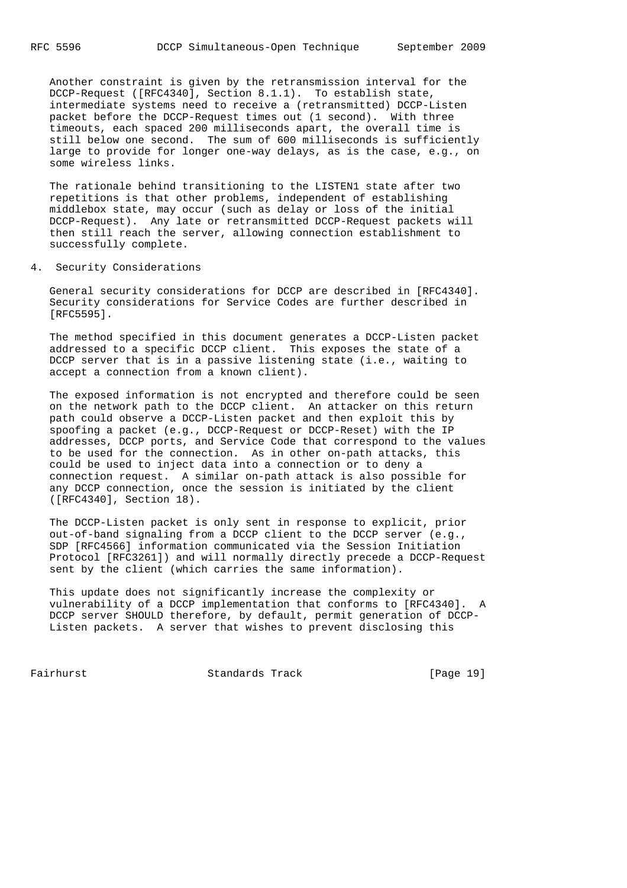Another constraint is given by the retransmission interval for the DCCP-Request ([RFC4340], Section 8.1.1). To establish state, intermediate systems need to receive a (retransmitted) DCCP-Listen packet before the DCCP-Request times out (1 second). With three timeouts, each spaced 200 milliseconds apart, the overall time is still below one second. The sum of 600 milliseconds is sufficiently large to provide for longer one-way delays, as is the case, e.g., on some wireless links.

 The rationale behind transitioning to the LISTEN1 state after two repetitions is that other problems, independent of establishing middlebox state, may occur (such as delay or loss of the initial DCCP-Request). Any late or retransmitted DCCP-Request packets will then still reach the server, allowing connection establishment to successfully complete.

4. Security Considerations

 General security considerations for DCCP are described in [RFC4340]. Security considerations for Service Codes are further described in [RFC5595].

 The method specified in this document generates a DCCP-Listen packet addressed to a specific DCCP client. This exposes the state of a DCCP server that is in a passive listening state (i.e., waiting to accept a connection from a known client).

 The exposed information is not encrypted and therefore could be seen on the network path to the DCCP client. An attacker on this return path could observe a DCCP-Listen packet and then exploit this by spoofing a packet (e.g., DCCP-Request or DCCP-Reset) with the IP addresses, DCCP ports, and Service Code that correspond to the values to be used for the connection. As in other on-path attacks, this could be used to inject data into a connection or to deny a connection request. A similar on-path attack is also possible for any DCCP connection, once the session is initiated by the client ([RFC4340], Section 18).

 The DCCP-Listen packet is only sent in response to explicit, prior out-of-band signaling from a DCCP client to the DCCP server (e.g., SDP [RFC4566] information communicated via the Session Initiation Protocol [RFC3261]) and will normally directly precede a DCCP-Request sent by the client (which carries the same information).

 This update does not significantly increase the complexity or vulnerability of a DCCP implementation that conforms to [RFC4340]. A DCCP server SHOULD therefore, by default, permit generation of DCCP- Listen packets. A server that wishes to prevent disclosing this

Fairhurst **Standards Track** [Page 19]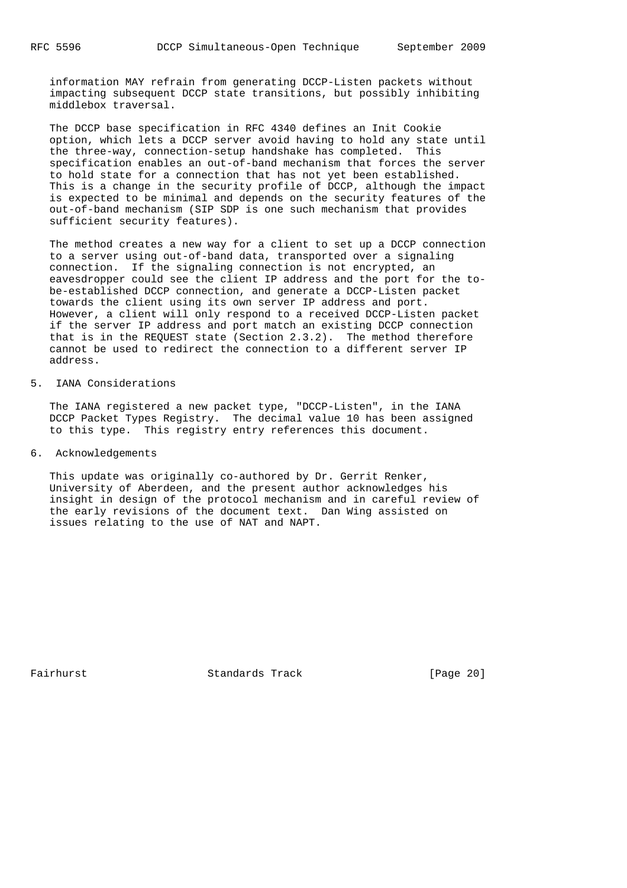information MAY refrain from generating DCCP-Listen packets without impacting subsequent DCCP state transitions, but possibly inhibiting middlebox traversal.

 The DCCP base specification in RFC 4340 defines an Init Cookie option, which lets a DCCP server avoid having to hold any state until the three-way, connection-setup handshake has completed. This specification enables an out-of-band mechanism that forces the server to hold state for a connection that has not yet been established. This is a change in the security profile of DCCP, although the impact is expected to be minimal and depends on the security features of the out-of-band mechanism (SIP SDP is one such mechanism that provides sufficient security features).

 The method creates a new way for a client to set up a DCCP connection to a server using out-of-band data, transported over a signaling connection. If the signaling connection is not encrypted, an eavesdropper could see the client IP address and the port for the to be-established DCCP connection, and generate a DCCP-Listen packet towards the client using its own server IP address and port. However, a client will only respond to a received DCCP-Listen packet if the server IP address and port match an existing DCCP connection that is in the REQUEST state (Section 2.3.2). The method therefore cannot be used to redirect the connection to a different server IP address.

5. IANA Considerations

 The IANA registered a new packet type, "DCCP-Listen", in the IANA DCCP Packet Types Registry. The decimal value 10 has been assigned to this type. This registry entry references this document.

6. Acknowledgements

 This update was originally co-authored by Dr. Gerrit Renker, University of Aberdeen, and the present author acknowledges his insight in design of the protocol mechanism and in careful review of the early revisions of the document text. Dan Wing assisted on issues relating to the use of NAT and NAPT.

Fairhurst Standards Track [Page 20]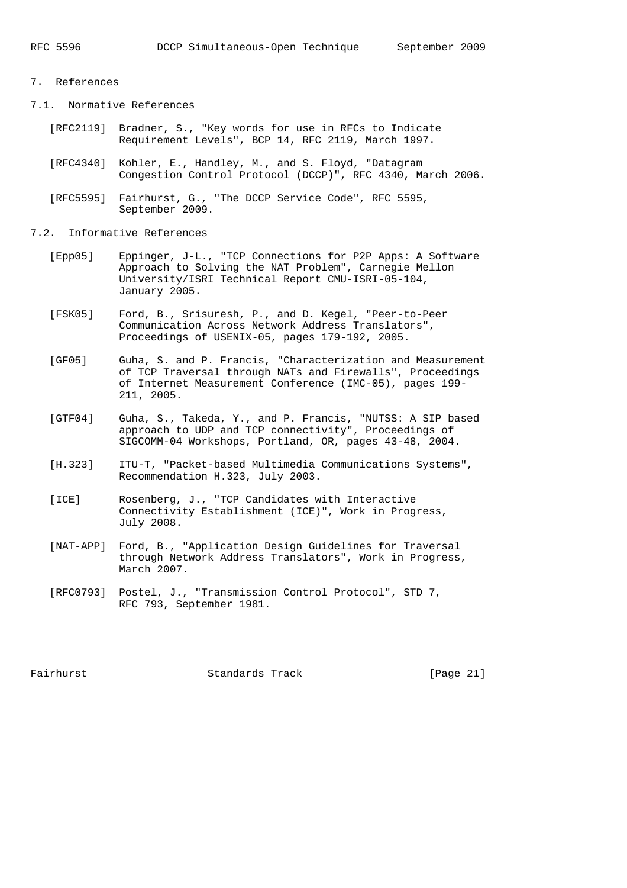# 7. References

7.1. Normative References

- [RFC2119] Bradner, S., "Key words for use in RFCs to Indicate Requirement Levels", BCP 14, RFC 2119, March 1997.
- [RFC4340] Kohler, E., Handley, M., and S. Floyd, "Datagram Congestion Control Protocol (DCCP)", RFC 4340, March 2006.
- [RFC5595] Fairhurst, G., "The DCCP Service Code", RFC 5595, September 2009.
- 7.2. Informative References
	- [Epp05] Eppinger, J-L., "TCP Connections for P2P Apps: A Software Approach to Solving the NAT Problem", Carnegie Mellon University/ISRI Technical Report CMU-ISRI-05-104, January 2005.
	- [FSK05] Ford, B., Srisuresh, P., and D. Kegel, "Peer-to-Peer Communication Across Network Address Translators", Proceedings of USENIX-05, pages 179-192, 2005.
	- [GF05] Guha, S. and P. Francis, "Characterization and Measurement of TCP Traversal through NATs and Firewalls", Proceedings of Internet Measurement Conference (IMC-05), pages 199- 211, 2005.
	- [GTF04] Guha, S., Takeda, Y., and P. Francis, "NUTSS: A SIP based approach to UDP and TCP connectivity", Proceedings of SIGCOMM-04 Workshops, Portland, OR, pages 43-48, 2004.
	- [H.323] ITU-T, "Packet-based Multimedia Communications Systems", Recommendation H.323, July 2003.
	- [ICE] Rosenberg, J., "TCP Candidates with Interactive Connectivity Establishment (ICE)", Work in Progress, July 2008.
	- [NAT-APP] Ford, B., "Application Design Guidelines for Traversal through Network Address Translators", Work in Progress, March 2007.
	- [RFC0793] Postel, J., "Transmission Control Protocol", STD 7, RFC 793, September 1981.

Fairhurst **Standards Track** [Page 21]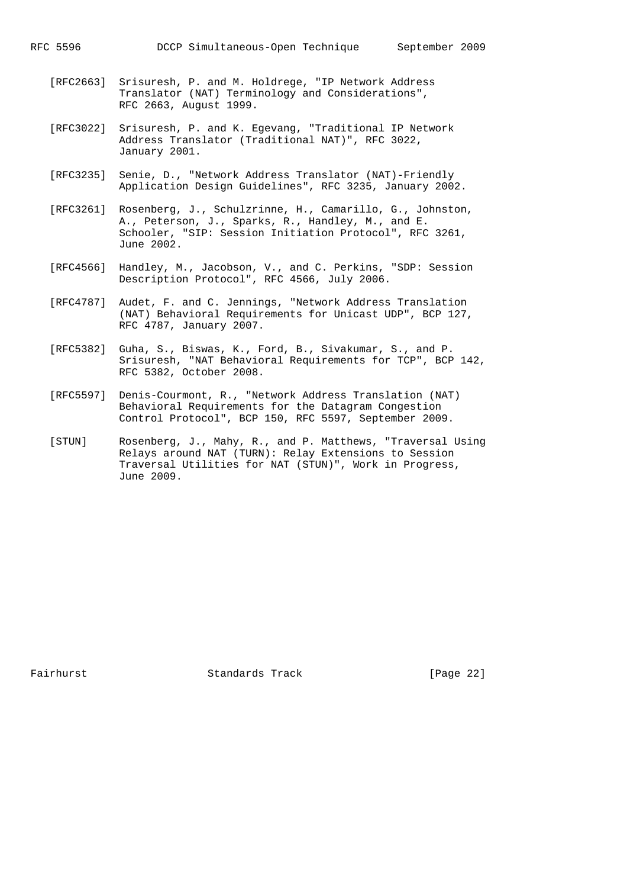- [RFC2663] Srisuresh, P. and M. Holdrege, "IP Network Address Translator (NAT) Terminology and Considerations", RFC 2663, August 1999.
- [RFC3022] Srisuresh, P. and K. Egevang, "Traditional IP Network Address Translator (Traditional NAT)", RFC 3022, January 2001.
- [RFC3235] Senie, D., "Network Address Translator (NAT)-Friendly Application Design Guidelines", RFC 3235, January 2002.
- [RFC3261] Rosenberg, J., Schulzrinne, H., Camarillo, G., Johnston, A., Peterson, J., Sparks, R., Handley, M., and E. Schooler, "SIP: Session Initiation Protocol", RFC 3261, June 2002.
- [RFC4566] Handley, M., Jacobson, V., and C. Perkins, "SDP: Session Description Protocol", RFC 4566, July 2006.
- [RFC4787] Audet, F. and C. Jennings, "Network Address Translation (NAT) Behavioral Requirements for Unicast UDP", BCP 127, RFC 4787, January 2007.
- [RFC5382] Guha, S., Biswas, K., Ford, B., Sivakumar, S., and P. Srisuresh, "NAT Behavioral Requirements for TCP", BCP 142, RFC 5382, October 2008.
- [RFC5597] Denis-Courmont, R., "Network Address Translation (NAT) Behavioral Requirements for the Datagram Congestion Control Protocol", BCP 150, RFC 5597, September 2009.
- [STUN] Rosenberg, J., Mahy, R., and P. Matthews, "Traversal Using Relays around NAT (TURN): Relay Extensions to Session Traversal Utilities for NAT (STUN)", Work in Progress, June 2009.

Fairhurst Standards Track [Page 22]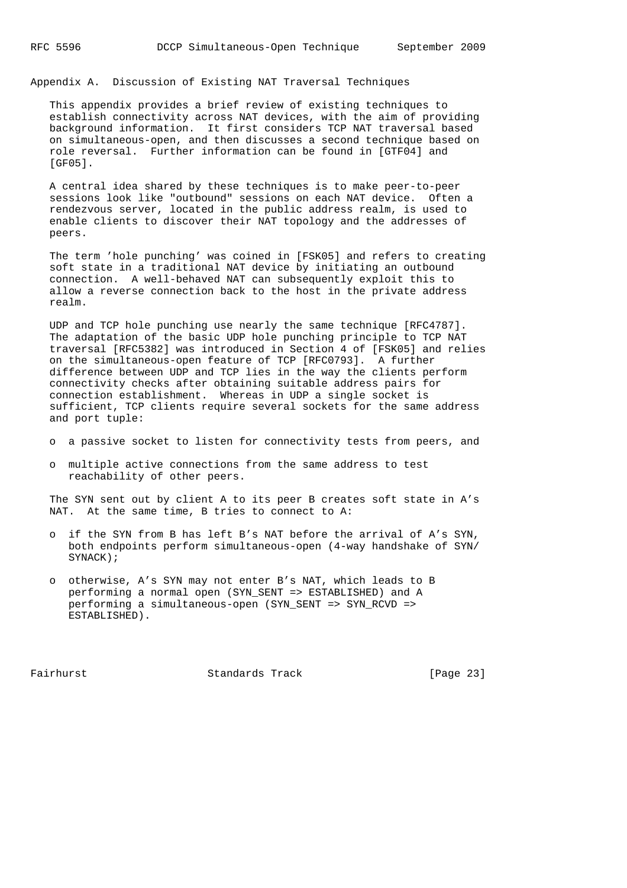Appendix A. Discussion of Existing NAT Traversal Techniques

 This appendix provides a brief review of existing techniques to establish connectivity across NAT devices, with the aim of providing background information. It first considers TCP NAT traversal based on simultaneous-open, and then discusses a second technique based on role reversal. Further information can be found in [GTF04] and [GF05].

 A central idea shared by these techniques is to make peer-to-peer sessions look like "outbound" sessions on each NAT device. Often a rendezvous server, located in the public address realm, is used to enable clients to discover their NAT topology and the addresses of peers.

 The term 'hole punching' was coined in [FSK05] and refers to creating soft state in a traditional NAT device by initiating an outbound connection. A well-behaved NAT can subsequently exploit this to allow a reverse connection back to the host in the private address realm.

 UDP and TCP hole punching use nearly the same technique [RFC4787]. The adaptation of the basic UDP hole punching principle to TCP NAT traversal [RFC5382] was introduced in Section 4 of [FSK05] and relies on the simultaneous-open feature of TCP [RFC0793]. A further difference between UDP and TCP lies in the way the clients perform connectivity checks after obtaining suitable address pairs for connection establishment. Whereas in UDP a single socket is sufficient, TCP clients require several sockets for the same address and port tuple:

o a passive socket to listen for connectivity tests from peers, and

 o multiple active connections from the same address to test reachability of other peers.

 The SYN sent out by client A to its peer B creates soft state in A's NAT. At the same time, B tries to connect to A:

- o if the SYN from B has left B's NAT before the arrival of A's SYN, both endpoints perform simultaneous-open (4-way handshake of SYN/ SYNACK);
- o otherwise, A's SYN may not enter B's NAT, which leads to B performing a normal open (SYN\_SENT => ESTABLISHED) and A performing a simultaneous-open (SYN\_SENT => SYN\_RCVD => ESTABLISHED).

Fairhurst Standards Track [Page 23]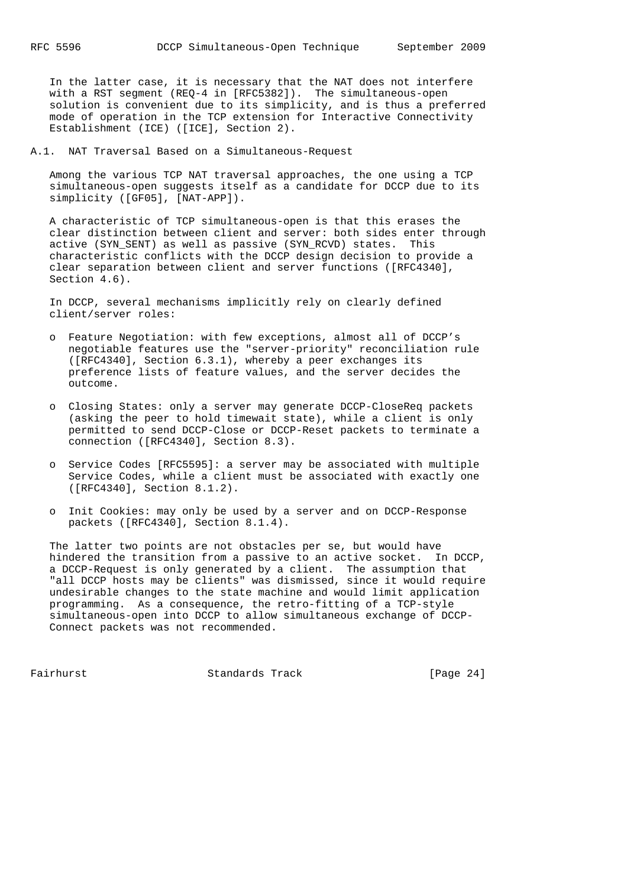In the latter case, it is necessary that the NAT does not interfere with a RST segment (REQ-4 in [RFC5382]). The simultaneous-open solution is convenient due to its simplicity, and is thus a preferred mode of operation in the TCP extension for Interactive Connectivity Establishment (ICE) ([ICE], Section 2).

A.1. NAT Traversal Based on a Simultaneous-Request

 Among the various TCP NAT traversal approaches, the one using a TCP simultaneous-open suggests itself as a candidate for DCCP due to its simplicity ([GF05], [NAT-APP]).

 A characteristic of TCP simultaneous-open is that this erases the clear distinction between client and server: both sides enter through active (SYN\_SENT) as well as passive (SYN\_RCVD) states. This characteristic conflicts with the DCCP design decision to provide a clear separation between client and server functions ([RFC4340], Section 4.6).

 In DCCP, several mechanisms implicitly rely on clearly defined client/server roles:

- o Feature Negotiation: with few exceptions, almost all of DCCP's negotiable features use the "server-priority" reconciliation rule ([RFC4340], Section 6.3.1), whereby a peer exchanges its preference lists of feature values, and the server decides the outcome.
- o Closing States: only a server may generate DCCP-CloseReq packets (asking the peer to hold timewait state), while a client is only permitted to send DCCP-Close or DCCP-Reset packets to terminate a connection ([RFC4340], Section 8.3).
- o Service Codes [RFC5595]: a server may be associated with multiple Service Codes, while a client must be associated with exactly one ([RFC4340], Section 8.1.2).
- o Init Cookies: may only be used by a server and on DCCP-Response packets ([RFC4340], Section 8.1.4).

 The latter two points are not obstacles per se, but would have hindered the transition from a passive to an active socket. In DCCP, a DCCP-Request is only generated by a client. The assumption that "all DCCP hosts may be clients" was dismissed, since it would require undesirable changes to the state machine and would limit application programming. As a consequence, the retro-fitting of a TCP-style simultaneous-open into DCCP to allow simultaneous exchange of DCCP- Connect packets was not recommended.

Fairhurst **Standards Track** [Page 24]